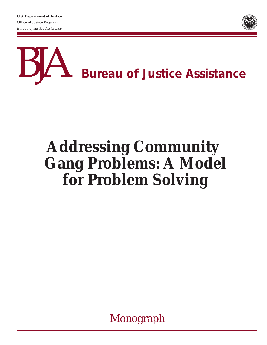**U.S. Department of Justice** Office of Justice Programs *Bureau of Justice Assistance*





## **Addressing Community Gang Problems: A Model for Problem Solving**

Monograph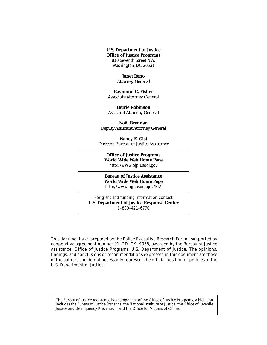**U.S. Department of Justice Office of Justice Programs** 810 Seventh Street NW. Washington, DC 20531

> **Janet Reno** *Attorney General*

**Raymond C. Fisher** *Associate Attorney General*

**Laurie Robinson** *Assistant Attorney General*

**Noël Brennan** *Deputy Assistant Attorney General*

**Nancy E. Gist** *Director, Bureau of Justice Assistance*

**Office of Justice Programs World Wide Web Home Page** http://www.ojp.usdoj.gov

**Bureau of Justice Assistance World Wide Web Home Page** http://www.ojp.usdoj.gov/BJA

For grant and funding information contact **U.S. Department of Justice Response Center** 1–800–421–6770

This document was prepared by the Police Executive Research Forum, supported by cooperative agreement number 91–DD–CX–K058, awarded by the Bureau of Justice Assistance, Office of Justice Programs, U.S. Department of Justice. The opinions, findings, and conclusions or recommendations expressed in this document are those of the authors and do not necessarily represent the official position or policies of the U.S. Department of Justice.

The Bureau of Justice Assistance is a component of the Office of Justice Programs, which also includes the Bureau of Justice Statistics, the National Institute of Justice, the Office of Juvenile Justice and Delinquency Prevention, and the Office for Victims of Crime.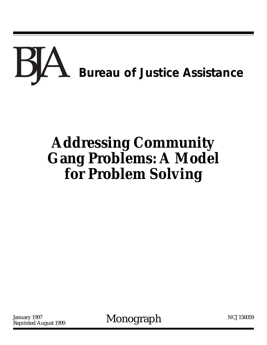# BA *Bureau of Justice Assistance*

## **Addressing Community Gang Problems: A Model for Problem Solving**

Reprinted August 1999

January 1997<br>Reprinted August 1999 Monograph

NCJ 156059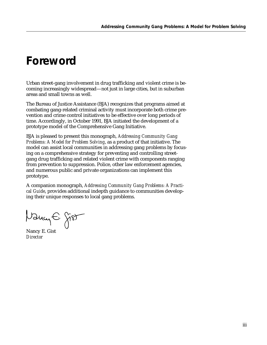## *Foreword*

Urban street-gang involvement in drug trafficking and violent crime is becoming increasingly widespread—not just in large cities, but in suburban areas and small towns as well.

The Bureau of Justice Assistance (BJA) recognizes that programs aimed at combating gang-related criminal activity must incorporate both crime prevention and crime control initiatives to be effective over long periods of time. Accordingly, in October 1991, BJA initiated the development of a prototype model of the Comprehensive Gang Initiative.

BJA is pleased to present this monograph, *Addressing Community Gang Problems: A Model for Problem Solving*, as a product of that initiative. The model can assist local communities in addressing gang problems by focusing on a comprehensive strategy for preventing and controlling streetgang drug trafficking and related violent crime with components ranging from prevention to suppression. Police, other law enforcement agencies, and numerous public and private organizations can implement this prototype.

A companion monograph, *Addressing Community Gang Problems: A Practical Guide*, provides additional indepth guidance to communities developing their unique responses to local gang problems.

Nancy E gist

Nancy E. Gist *Director*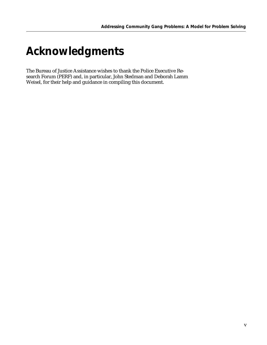## *Acknowledgments*

The Bureau of Justice Assistance wishes to thank the Police Executive Research Forum (PERF) and, in particular, John Stedman and Deborah Lamm Weisel, for their help and guidance in compiling this document.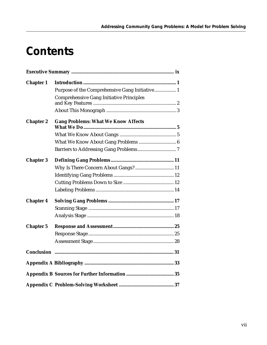## *Contents*

| <b>Chapter 1</b> |                                                 |  |  |
|------------------|-------------------------------------------------|--|--|
|                  | Purpose of the Comprehensive Gang Initiative 1  |  |  |
|                  | <b>Comprehensive Gang Initiative Principles</b> |  |  |
|                  |                                                 |  |  |
| <b>Chapter 2</b> | <b>Gang Problems: What We Know Affects</b>      |  |  |
|                  |                                                 |  |  |
|                  |                                                 |  |  |
|                  |                                                 |  |  |
| <b>Chapter 3</b> |                                                 |  |  |
|                  | Why Is There Concern About Gangs? 11            |  |  |
|                  |                                                 |  |  |
|                  |                                                 |  |  |
|                  |                                                 |  |  |
| <b>Chapter 4</b> |                                                 |  |  |
|                  |                                                 |  |  |
|                  |                                                 |  |  |
| <b>Chapter 5</b> |                                                 |  |  |
|                  |                                                 |  |  |
|                  |                                                 |  |  |
|                  |                                                 |  |  |
|                  |                                                 |  |  |
|                  |                                                 |  |  |
|                  |                                                 |  |  |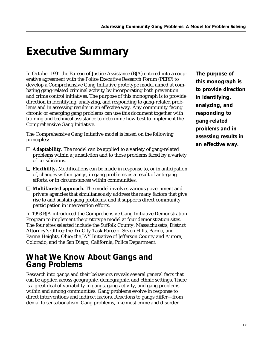## *Executive Summary*

In October 1991 the Bureau of Justice Assistance (BJA) entered into a cooperative agreement with the Police Executive Research Forum (PERF) to develop a Comprehensive Gang Initiative prototype model aimed at combating gang-related criminal activity by incorporating both prevention and crime control initiatives. The purpose of this monograph is to provide direction in identifying, analyzing, and responding to gang-related problems and in assessing results in an effective way. Any community facing chronic or emerging gang problems can use this document together with training and technical assistance to determine how best to implement the Comprehensive Gang Initiative.

The Comprehensive Gang Initiative model is based on the following principles:

- ❑ **Adaptability.** The model can be applied to a variety of gang-related problems within a jurisdiction and to those problems faced by a variety of jurisdictions.
- ❑ **Flexibility.** Modifications can be made in response to, or in anticipation of, changes within gangs, in gang problems as a result of anti-gang efforts, or in circumstances within communities.
- ❑ **Multifaceted approach.** The model involves various government and private agencies that simultaneously address the many factors that give rise to and sustain gang problems, and it supports direct community participation in intervention efforts.

In 1993 BJA introduced the Comprehensive Gang Initiative Demonstration Program to implement the prototype model at four demonstration sites. The four sites selected include the Suffolk County, Massachusetts, District Attorney's Office; the Tri-City Task Force of Seven Hills, Parma, and Parma Heights, Ohio; the JAY Initiative of Jefferson County and Aurora, Colorado; and the San Diego, California, Police Department.

#### *What We Know About Gangs and Gang Problems*

Research into gangs and their behaviors reveals several general facts that can be applied across geographic, demographic, and ethnic settings. There is a great deal of variability in gangs, gang activity, and gang problems within and among communities. Gang problems evolve in response to direct interventions and indirect factors. Reactions to gangs differ—from denial to sensationalism. Gang problems, like most crime and disorder

*The purpose of this monograph is to provide direction in identifying, analyzing, and responding to gang-related problems and in assessing results in an effective way.*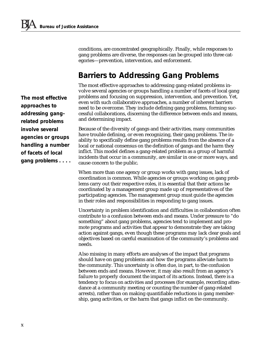conditions, are concentrated geographically. Finally, while responses to gang problems are diverse, the responses can be grouped into three categories—prevention, intervention, and enforcement.

### *Barriers to Addressing Gang Problems*

The most effective approaches to addressing gang-related problems involve several agencies or groups handling a number of facets of local gang problems and focusing on suppression, intervention, and prevention. Yet, even with such collaborative approaches, a number of inherent barriers need to be overcome. They include defining gang problems, forming successful collaborations, discerning the difference between ends and means, and determining impact.

Because of the diversity of gangs and their activities, many communities have trouble defining, or even recognizing, their gang problems. The inability to specifically define gang problems results from the absence of a local or national consensus on the definition of gangs and the harm they inflict. This model defines a gang-related problem as a group of harmful incidents that occur in a community, are similar in one or more ways, and cause concern to the public.

When more than one agency or group works with gang issues, lack of coordination is common. While agencies or groups working on gang problems carry out their respective roles, it is essential that their actions be coordinated by a management group made up of representatives of the participating agencies. The management group must guide the agencies in their roles and responsibilities in responding to gang issues.

Uncertainty in problem identification and difficulties in collaboration often contribute to a confusion between ends and means. Under pressure to "do something" about gang problems, agencies tend to implement and promote programs and activities that appear to demonstrate they are taking action against gangs, even though these programs may lack clear goals and objectives based on careful examination of the community's problems and needs.

Also missing in many efforts are analyses of the impact that programs should have on gang problems and how the programs alleviate harm to the community. This uncertainty is often due, in part, to the confusion between ends and means. However, it may also result from an agency's failure to properly document the impact of its actions. Instead, there is a tendency to focus on activities and processes (for example, recording attendance at a community meeting or counting the number of gang-related arrests), rather than on making quantifiable reductions in gang membership, gang activities, or the harm that gangs inflict on the community.

*The most effective approaches to addressing gangrelated problems involve several agencies or groups handling a number of facets of local gang problems . . . .*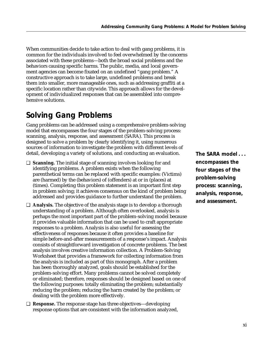When communities decide to take action to deal with gang problems, it is common for the individuals involved to feel overwhelmed by the concerns associated with these problems—both the broad social problems and the behaviors causing specific harms. The public, media, and local government agencies can become fixated on an undefined "gang problem." A constructive approach is to take large, undefined problems and break them into smaller, more manageable ones, such as addressing graffiti at a specific location rather than citywide. This approach allows for the development of individualized responses that can be assembled into comprehensive solutions.

### *Solving Gang Problems*

Gang problems can be addressed using a comprehensive problem-solving model that encompasses the four stages of the problem-solving process: scanning, analysis, response, and assessment (SARA). This process is designed to solve a problem by clearly identifying it, using numerous sources of information to investigate the problem with different levels of detail, developing a variety of solutions, and conducting an evaluation.

- ❑ **Scanning.** The initial stage of scanning involves looking for and identifying problems. A problem exists when the following parenthetical terms can be replaced with specific examples: (Victims) are (harmed) by the (behaviors) of (offenders) at or in (places) at (times). Completing this problem statement is an important first step in problem solving; it achieves consensus on the kind of problem being addressed and provides guidance to further understand the problem.
- ❑ **Analysis.** The objective of the analysis stage is to develop a thorough understanding of a problem. Although often overlooked, analysis is perhaps the most important part of the problem-solving model because it provides valuable information that can be used to craft appropriate responses to a problem. Analysis is also useful for assessing the effectiveness of responses because it often provides a baseline for simple before-and-after measurements of a response's impact. Analysis consists of straightforward investigation of concrete problems. The best analysis involves creative information collection. A Problem-Solving Worksheet that provides a framework for collecting information from the analysis is included as part of this monograph. After a problem has been thoroughly analyzed, goals should be established for the problem-solving effort. Many problems cannot be solved completely or eliminated; therefore, responses should be designed based on one of the following purposes: totally eliminating the problem; substantially reducing the problem; reducing the harm created by the problem; or dealing with the problem more effectively.
- ❑ **Response.** The response stage has three objectives—developing response options that are consistent with the information analyzed,

*The SARA model . . . encompasses the four stages of the problem-solving process: scanning, analysis, response, and assessment.*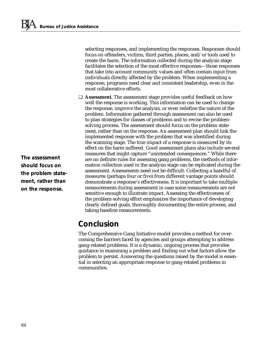selecting responses, and implementing the responses. Responses should focus on offenders, victims, third parties, places, and/or tools used to create the harm. The information collected during the analysis stage facilitates the selection of the most effective responses—those responses that take into account community values and often contain input from individuals directly affected by the problem. When implementing a response, programs need clear and consistent leadership, even in the most collaborative efforts.

❑ **Assessment.** The assessment stage provides useful feedback on how well the response is working. This information can be used to change the response, improve the analysis, or even redefine the nature of the problem. Information gathered through assessment can also be used to plan strategies for classes of problems and to revise the problemsolving process. The assessment should focus on the problem statement, rather than on the response. An assessment plan should link the implemented response with the problem that was identified during the scanning stage. The true impact of a response is measured by its effect on the harm suffered. Good assessment plans also include several measures that might capture "unintended consequences." While there are no definite rules for assessing gang problems, the methods of information collection used in the analysis stage can be replicated during the assessment. Assessments need not be difficult. Collecting a handful of measures (perhaps four or five) from different vantage points should demonstrate a response's effectiveness. It is important to take multiple measurements during assessment in case some measurements are not sensitive enough to illustrate impact. Assessing the effectiveness of the problem-solving effort emphasizes the importance of developing clearly defined goals, thoroughly documenting the entire process, and taking baseline measurements.

### *Conclusion*

The Comprehensive Gang Initiative model provides a method for overcoming the barriers faced by agencies and groups attempting to address gang-related problems. It is a dynamic, ongoing process that provides guidance in examining a problem and finding out what factors allow the problem to persist. Answering the questions raised by the model is essential in selecting an appropriate response to gang-related problems in communities.

*The assessment should focus on the problem statement, rather than on the response.*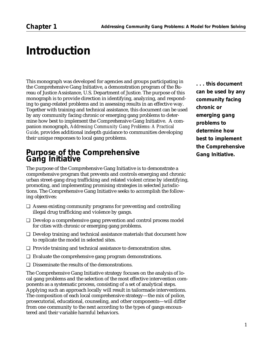## *Introduction*

This monograph was developed for agencies and groups participating in the Comprehensive Gang Initiative, a demonstration program of the Bureau of Justice Assistance, U.S. Department of Justice. The purpose of this monograph is to provide direction in identifying, analyzing, and responding to gang-related problems and in assessing results in an effective way. Together with training and technical assistance, this document can be used by any community facing chronic or emerging gang problems to determine how best to implement the Comprehensive Gang Initiative. A companion monograph, *Addressing Community Gang Problems: A Practical Guide*, provides additional indepth guidance to communities developing their unique responses to local gang problems.

#### *Purpose of the Comprehensive Gang Initiative*

The purpose of the Comprehensive Gang Initiative is to demonstrate a comprehensive program that prevents and controls emerging and chronic urban street-gang drug trafficking and related violent crime by identifying, promoting, and implementing promising strategies in selected jurisdictions. The Comprehensive Gang Initiative seeks to accomplish the following objectives:

- ❑ Assess existing community programs for preventing and controlling illegal drug trafficking and violence by gangs.
- ❑ Develop a comprehensive gang prevention and control process model for cities with chronic or emerging gang problems.
- ❑ Develop training and technical assistance materials that document how to replicate the model in selected sites.
- ❑ Provide training and technical assistance to demonstration sites.
- ❑ Evaluate the comprehensive gang program demonstrations.
- ❑ Disseminate the results of the demonstrations.

The Comprehensive Gang Initiative strategy focuses on the analysis of local gang problems and the selection of the most effective intervention components as a systematic process, consisting of a set of analytical steps. Applying such an approach locally will result in tailormade interventions. The composition of each local comprehensive strategy—the mix of police, prosecutorial, educational, counseling, and other components—will differ from one community to the next according to the types of gangs encountered and their variable harmful behaviors.

*. . . this document can be used by any community facing chronic or emerging gang problems to determine how best to implement the Comprehensive Gang Initiative.*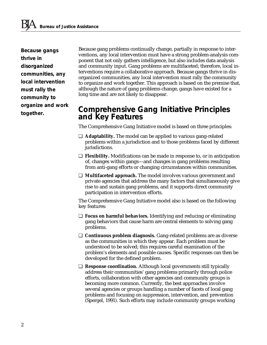*Because gangs thrive in disorganized communities, any local intervention must rally the community to organize and work together.*

Because gang problems continually change, partially in response to interventions, any local intervention must have a strong problem-analysis component that not only gathers intelligence, but also includes data analysis and community input. Gang problems are multifaceted; therefore, local interventions require a collaborative approach. Because gangs thrive in disorganized communities, any local intervention must rally the community to organize and work together. This approach is based on the premise that, although the nature of gang problems change, gangs have existed for a long time and are not likely to disappear.

#### *Comprehensive Gang Initiative Principles and Key Features*

The Comprehensive Gang Initiative model is based on three principles:

- ❑ **Adaptability.** The model can be applied to various gang-related problems within a jurisdiction and to those problems faced by different jurisdictions.
- ❑ **Flexibility.** Modifications can be made in response to, or in anticipation of, changes within gangs—and changes in gang problems resulting from anti-gang efforts or changing circumstances within communities.
- ❑ **Multifaceted approach.** The model involves various government and private agencies that address the many factors that simultaneously give rise to and sustain gang problems, and it supports direct community participation in intervention efforts.

The Comprehensive Gang Initiative model also is based on the following key features:

- ❑ **Focus on harmful behaviors.** Identifying and reducing or eliminating gang behaviors that cause harm are central elements to solving gang problems.
- ❑ **Continuous problem diagnosis.** Gang-related problems are as diverse as the communities in which they appear. Each problem must be understood to be solved; this requires careful examination of the problem's elements and possible causes. Specific responses can then be developed for the defined problem.
- ❑ **Response coordination.** Although local governments still typically address their communities' gang problems primarily through police efforts, collaboration with other agencies and community groups is becoming more common. Currently, the best approaches involve several agencies or groups handling a number of facets of local gang problems and focusing on suppression, intervention, and prevention (Spergel, 1991). Such efforts may include community groups working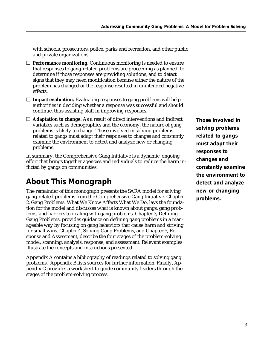with schools, prosecutors, police, parks and recreation, and other public and private organizations.

- ❑ **Performance monitoring.** Continuous monitoring is needed to ensure that responses to gang-related problems are proceeding as planned, to determine if those responses are providing solutions, and to detect signs that they may need modification because either the nature of the problem has changed or the response resulted in unintended negative effects.
- ❑ **Impact evaluation.** Evaluating responses to gang problems will help authorities in deciding whether a response was successful and should continue, thus assisting staff in improving responses.
- ❑ **Adaptation to change.** As a result of direct interventions and indirect variables such as demographics and the economy, the nature of gang problems is likely to change. Those involved in solving problems related to gangs must adapt their responses to changes and constantly examine the environment to detect and analyze new or changing problems.

In summary, the Comprehensive Gang Initiative is a dynamic, ongoing effort that brings together agencies and individuals to reduce the harm inflicted by gangs on communities.

### *About This Monograph*

The remainder of this monograph presents the SARA model for solving gang-related problems from the Comprehensive Gang Initiative. Chapter 2, Gang Problems: What We Know Affects What We Do, lays the foundation for the model and discusses what is known about gangs, gang problems, and barriers to dealing with gang problems. Chapter 3, Defining Gang Problems, provides guidance on defining gang problems in a manageable way by focusing on gang behaviors that cause harm and striving for small wins. Chapter 4, Solving Gang Problems, and Chapter 5, Response and Assessment, describe the four stages of the problem-solving model: scanning, analysis, response, and assessment. Relevant examples illustrate the concepts and instructions presented.

Appendix A contains a bibliography of readings related to solving gang problems. Appendix B lists sources for further information. Finally, Appendix C provides a worksheet to guide community leaders through the stages of the problem-solving process.

*Those involved in solving problems related to gangs must adapt their responses to changes and constantly examine the environment to detect and analyze new or changing problems.*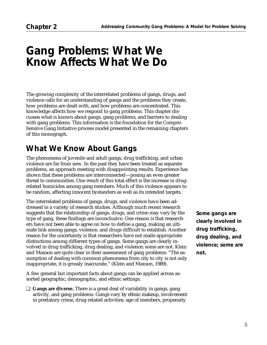## *Gang Problems: What We Know Affects What We Do*

The growing complexity of the interrelated problems of gangs, drugs, and violence calls for an understanding of gangs and the problems they create, how problems are dealt with, and how problems are concentrated. This knowledge affects how we respond to gang problems. This chapter discusses what is known about gangs, gang problems, and barriers to dealing with gang problems. This information is the foundation for the Comprehensive Gang Initiative process model presented in the remaining chapters of this monograph.

### *What We Know About Gangs*

The phenomena of juvenile and adult gangs, drug trafficking, and urban violence are far from new. In the past they have been treated as separate problems, an approach meeting with disappointing results. Experience has shown that these problems are interconnected—posing an even greater threat to communities. One result of this total effect is the increase in drugrelated homicides among gang members. Much of this violence appears to be random, affecting innocent bystanders as well as its intended targets.

The interrelated problems of gangs, drugs, and violence have been addressed in a variety of research studies. Although much recent research suggests that the relationship of gangs, drugs, and crime may vary by the type of gang, these findings are inconclusive. One reason is that researchers have not been able to agree on how to define a gang, making an ultimate link among gangs, violence, and drugs difficult to establish. Another reason for the uncertainty is that researchers have not made appropriate distinctions among different types of gangs. Some gangs are clearly involved in drug trafficking, drug dealing, and violence; some are not. Klein and Maxson are quite clear in their assessment of gang problems: "The assumption of dealing with common phenomena from city to city is not only inappropriate, it is grossly inaccurate," (Klein and Maxson, 1989).

A few general but important facts about gangs can be applied across assorted geographic, demographic, and ethnic settings:

❑ **Gangs are diverse.** There is a great deal of variability in gangs, gang activity, and gang problems. Gangs vary by ethnic makeup, involvement in predatory crime, drug-related activities, age of members, propensity

*Some gangs are clearly involved in drug trafficking, drug dealing, and violence; some are not.*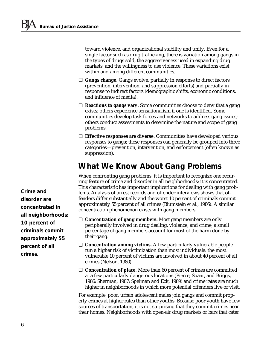toward violence, and organizational stability and unity. Even for a single factor such as drug trafficking, there is variation among gangs in the types of drugs sold, the aggressiveness used in expanding drug markets, and the willingness to use violence. These variations exist within and among different communities.

- ❑ **Gangs change.** Gangs evolve, partially in response to direct factors (prevention, intervention, and suppression efforts) and partially in response to indirect factors (demographic shifts, economic conditions, and influence of media).
- ❑ **Reactions to gangs vary.** Some communities choose to deny that a gang exists; others experience sensationalism if one is identified. Some communities develop task forces and networks to address gang issues; others conduct assessments to determine the nature and scope of gang problems.
- ❑ **Effective responses are diverse.** Communities have developed various responses to gangs; these responses can generally be grouped into three categories—prevention, intervention, and enforcement (often known as suppression).

### *What We Know About Gang Problems*

When confronting gang problems, it is important to recognize one recurring feature of crime and disorder in all neighborhoods: it is concentrated. This characteristic has important implications for dealing with gang problems. Analysis of arrest records and offender interviews shows that offenders differ substantially and the worst 10 percent of criminals commit approximately 55 percent of all crimes (Blumstein et al., 1986). A similar concentration phenomenon exists with gang members.

- ❑ **Concentration of gang members.** Most gang members are only peripherally involved in drug dealing, violence, and crime; a small percentage of gang members account for most of the harm done by their gang.
- ❑ **Concentration among victims.** A few particularly vulnerable people run a higher risk of victimization than most individuals: the most vulnerable 10 percent of victims are involved in about 40 percent of all crimes (Nelson, 1980).
- ❑ **Concentration of place.** More than 60 percent of crimes are committed at a few particularly dangerous locations (Pierce, Spaar, and Briggs, 1986; Sherman, 1987; Spelman and Eck, 1989) and crime rates are much higher in neighborhoods in which more potential offenders live or visit.

For example, poor, urban adolescent males join gangs and commit property crimes at higher rates than other youths. Because poor youth have few sources of transportation, it is not surprising that they commit crimes near their homes. Neighborhoods with open-air drug markets or bars that cater

*Crime and disorder are concentrated in all neighborhoods: 10 percent of criminals commit approximately 55 percent of all crimes.*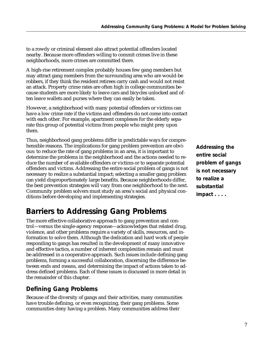to a rowdy or criminal element also attract potential offenders located nearby. Because more offenders willing to commit crimes live in these neighborhoods, more crimes are committed there.

A high-rise retirement complex probably houses few gang members but may attract gang members from the surrounding area who are would-be robbers, if they think the resident retirees carry cash and would not resist an attack. Property crime rates are often high in college communities because students are more likely to leave cars and bicycles unlocked and often leave wallets and purses where they can easily be taken.

However, a neighborhood with many potential offenders or victims can have a low crime rate if the victims and offenders do not come into contact with each other. For example, apartment complexes for the elderly separate this group of potential victims from people who might prey upon them.

Thus, neighborhood gang problems differ in predictable ways for comprehensible reasons. The implications for gang problem prevention are obvious: to reduce the rate of gang problems in an area, it is important to determine the problems in the neighborhood and the actions needed to reduce the number of available offenders or victims or to separate potential offenders and victims. Addressing the entire social problem of gangs is not necessary to realize a substantial impact; selecting a smaller gang problem can yield disproportionately large benefits. Because neighborhoods differ, the best prevention strategies will vary from one neighborhood to the next. Community problem solvers must study an area's social and physical conditions before developing and implementing strategies.

### *Barriers to Addressing Gang Problems*

The more effective collaborative approach to gang prevention and control—versus the single-agency response—acknowledges that related drug, violence, and other problems require a variety of skills, resources, and information to solve them. Although the dedication and hard work of people responding to gangs has resulted in the development of many innovative and effective tactics, a number of inherent complexities remain and must be addressed in a cooperative approach. Such issues include defining gang problems, forming a successful collaboration, discerning the difference between ends and means, and determining the impact of actions taken to address defined problems. Each of these issues is discussed in more detail in the remainder of this chapter.

#### *Defining Gang Problems*

Because of the diversity of gangs and their activities, many communities have trouble defining, or even recognizing, their gang problems. Some communities deny having a problem. Many communities address their

*Addressing the entire social problem of gangs is not necessary to realize a substantial impact . . . .*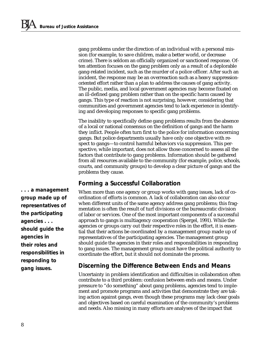gang problems under the direction of an individual with a personal mission (for example, to save children, make a better world, or decrease crime). There is seldom an officially organized or sanctioned response. Often attention focuses on the gang problem only as a result of a deplorable gang-related incident, such as the murder of a police officer. After such an incident, the response may be an overreaction such as a heavy suppressionoriented effort rather than a plan to address the causes of gang activity. The public, media, and local government agencies may become fixated on an ill-defined gang problem rather than on the specific harm caused by gangs. This type of reaction is not surprising, however, considering that communities and government agencies tend to lack experience in identifying and developing responses to specific gang problems.

The inability to specifically define gang problems results from the absence of a local or national consensus on the definition of gangs and the harm they inflict. People often turn first to the police for information concerning gangs. But police departments usually have only one objective with respect to gangs—to control harmful behaviors via suppression. This perspective, while important, does not allow those concerned to assess all the factors that contribute to gang problems. Information should be gathered from all resources available to the community (for example, police, schools, courts, and community groups) to develop a clear picture of gangs and the problems they cause.

#### *Forming a Successful Collaboration*

When more than one agency or group works with gang issues, lack of coordination of efforts is common. A lack of collaboration can also occur when different units of the same agency address gang problems; this fragmentation is often the result of turf divisions or the bureaucratic division of labor or services. One of the most important components of a successful approach to gangs is multiagency cooperation (Spergel, 1991). While the agencies or groups carry out their respective roles in the effort, it is essential that their actions be coordinated by a management group made up of representatives of the participating agencies. The management group should guide the agencies in their roles and responsibilities in responding to gang issues. The management group must have the political authority to coordinate the effort, but it should not dominate the process.

#### *Discerning the Difference Between Ends and Means*

Uncertainty in problem identification and difficulties in collaboration often contribute to a third problem: confusion between ends and means. Under pressure to "do something" about gang problems, agencies tend to implement and promote programs and activities that demonstrate they are taking action against gangs, even though these programs may lack clear goals and objectives based on careful examination of the community's problems and needs. Also missing in many efforts are analyses of the impact that

*. . . a management group made up of representatives of the participating agencies . . . should guide the agencies in their roles and responsibilities in responding to gang issues.*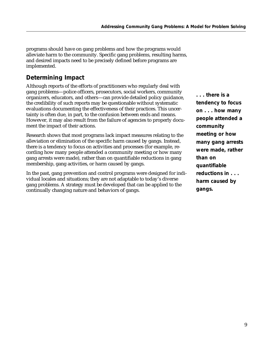programs should have on gang problems and how the programs would alleviate harm to the community. Specific gang problems, resulting harms, and desired impacts need to be precisely defined before programs are implemented.

#### *Determining Impact*

Although reports of the efforts of practitioners who regularly deal with gang problems—police officers, prosecutors, social workers, community organizers, educators, and others—can provide detailed policy guidance, the credibility of such reports may be questionable without systematic evaluations documenting the effectiveness of their practices. This uncertainty is often due, in part, to the confusion between ends and means. However, it may also result from the failure of agencies to properly document the impact of their actions.

Research shows that most programs lack impact measures relating to the alleviation or elimination of the specific harm caused by gangs. Instead, there is a tendency to focus on activities and processes (for example, recording how many people attended a community meeting or how many gang arrests were made), rather than on quantifiable reductions in gang membership, gang activities, or harm caused by gangs.

In the past, gang prevention and control programs were designed for individual locales and situations; they are not adaptable to today's diverse gang problems. A strategy must be developed that can be applied to the continually changing nature and behaviors of gangs.

*. . . there is a tendency to focus on . . . how many people attended a community meeting or how many gang arrests were made, rather than on quantifiable reductions in . . . harm caused by gangs.*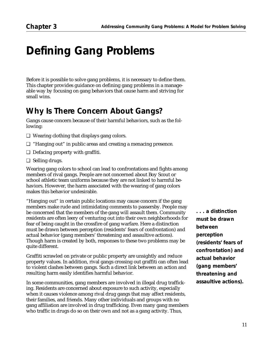## *Defining Gang Problems*

Before it is possible to solve gang problems, it is necessary to define them. This chapter provides guidance on defining gang problems in a manageable way by focusing on gang behaviors that cause harm and striving for small wins.

### *Why Is There Concern About Gangs?*

Gangs cause concern because of their harmful behaviors, such as the following:

- ❑ Wearing clothing that displays gang colors.
- ❑ "Hanging out" in public areas and creating a menacing presence.
- ❑ Defacing property with graffiti.
- ❑ Selling drugs.

Wearing gang colors to school can lead to confrontations and fights among members of rival gangs. People are not concerned about Boy Scout or school athletic team uniforms because they are not linked to harmful behaviors. However, the harm associated with the wearing of gang colors makes this behavior undesirable.

"Hanging out" in certain public locations may cause concern if the gang members make rude and intimidating comments to passersby. People may be concerned that the members of the gang will assault them. Community residents are often leery of venturing out into their own neighborhoods for fear of being caught in the crossfire of gang warfare. Here a distinction must be drawn between perception (residents' fears of confrontation) and actual behavior (gang members' threatening and assaultive actions). Though harm is created by both, responses to these two problems may be quite different.

Graffiti scrawled on private or public property are unsightly and reduce property values. In addition, rival gangs crossing out graffiti can often lead to violent clashes between gangs. Such a direct link between an action and resulting harm easily identifies harmful behavior.

In some communities, gang members are involved in illegal drug trafficking. Residents are concerned about exposure to such activity, especially when it causes violence among rival drug gangs that may affect residents, their families, and friends. Many other individuals and groups with no gang affiliation are involved in drug trafficking. Even many gang members who traffic in drugs do so on their own and not as a gang activity. Thus,

*. . . a distinction must be drawn between perception (residents' fears of confrontation) and actual behavior (gang members' threatening and assaultive actions).*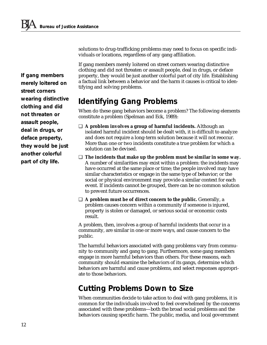*If gang members merely loitered on street corners wearing distinctive clothing and did not threaten or assault people, deal in drugs, or deface property, they would be just another colorful part of city life.*

solutions to drug-trafficking problems may need to focus on specific individuals or locations, regardless of any gang affiliation.

If gang members merely loitered on street corners wearing distinctive clothing and did not threaten or assault people, deal in drugs, or deface property, they would be just another colorful part of city life. Establishing a factual link between a behavior and the harm it causes is critical to identifying and solving problems.

### *Identifying Gang Problems*

When do these gang behaviors become a problem? The following elements constitute a problem (Spelman and Eck, 1989):

- ❑ **A problem involves a group of harmful incidents.** Although an isolated harmful incident should be dealt with, it is difficult to analyze and does not require a long-term solution because it will not reoccur. More than one or two incidents constitute a true problem for which a solution can be devised.
- ❑ **The incidents that make up the problem must be similar in some way.** A number of similarities may exist within a problem: the incidents may have occurred at the same place or time; the people involved may have similar characteristics or engage in the same type of behavior; or the social or physical environment may provide a similar context for each event. If incidents cannot be grouped, there can be no common solution to prevent future occurrences.
- ❑ **A problem must be of direct concern to the public.** Generally, a problem causes concern within a community if someone is injured, property is stolen or damaged, or serious social or economic costs result.

A problem, then, involves a group of harmful incidents that occur in a community, are similar in one or more ways, and cause concern to the public.

The harmful behaviors associated with gang problems vary from community to community and gang to gang. Furthermore, some gang members engage in more harmful behaviors than others. For these reasons, each community should examine the behaviors of its gangs, determine which behaviors are harmful and cause problems, and select responses appropriate to those behaviors.

### *Cutting Problems Down to Size*

When communities decide to take action to deal with gang problems, it is common for the individuals involved to feel overwhelmed by the concerns associated with these problems—both the broad social problems and the behaviors causing specific harm. The public, media, and local government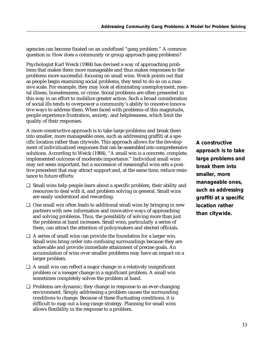agencies can become fixated on an undefined "gang problem." A common question is: How does a community or group approach gang problems?

Psychologist Karl Weick (1984) has devised a way of approaching problems that makes them more manageable and thus makes responses to the problems more successful: focusing on small wins. Weick points out that as people begin examining social problems, they tend to do so on a massive scale. For example, they may look at eliminating unemployment, mental illness, homelessness, or crime. Social problems are often presented in this way in an effort to mobilize greater action. Such a broad consideration of social ills tends to overpower a community's ability to conceive innovative ways to address them. When faced with problems of this magnitude, people experience frustration, anxiety, and helplessness, which limit the quality of their responses.

A more constructive approach is to take large problems and break them into smaller, more manageable ones, such as addressing graffiti at a specific location rather than citywide. This approach allows for the development of individualized responses that can be assembled into comprehensive solutions. According to Weick (1984), "A small win is a concrete, complete, implemented outcome of moderate importance." Individual small wins may not seem important, but a succession of meaningful wins sets a positive precedent that may attract support and, at the same time, reduce resistance to future efforts:

- ❑ Small wins help people learn about a specific problem, their ability and resources to deal with it, and problem solving in general. Small wins are easily understood and rewarding.
- ❑ One small win often leads to additional small wins by bringing in new partners with new information and innovative ways of approaching and solving problems. Thus, the possibility of solving more than just the problems at hand increases. Small wins, particularly a series of them, can attract the attention of policymakers and elected officials.
- ❑ A series of small wins can provide the foundation for a larger win. Small wins bring order into confusing surroundings because they are achievable and provide immediate attainment of precise goals. An accumulation of wins over smaller problems may have an impact on a larger problem.
- $\Box$  A small win can reflect a major change in a relatively insignificant problem or a meager change in a significant problem. A small win sometimes completely solves the problem at hand.
- ❑ Problems are dynamic; they change in response to an ever-changing environment. Simply addressing a problem causes the surrounding conditions to change. Because of these fluctuating conditions, it is difficult to map out a long-range strategy. Planning for small wins allows flexibility in the response to a problem.

*A constructive approach is to take large problems and break them into smaller, more manageable ones, such as addressing graffiti at a specific location rather than citywide.*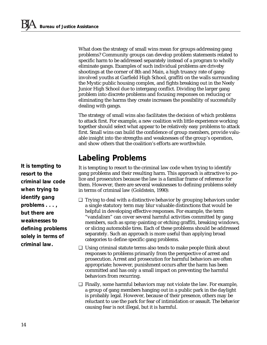What does the strategy of small wins mean for groups addressing gang problems? Community groups can develop problem statements related to specific harm to be addressed separately instead of a program to wholly eliminate gangs. Examples of such individual problems are driveby shootings at the corner of 8th and Main, a high truancy rate of ganginvolved youths at Garfield High School, graffiti on the walls surrounding the Mystic public housing complex, and fights breaking out in the Neely Junior High School due to intergang conflict. Dividing the larger gang problem into discrete problems and focusing responses on reducing or eliminating the harms they create increases the possibility of successfully dealing with gangs.

The strategy of small wins also facilitates the decision of which problems to attack first. For example, a new coalition with little experience working together should select what appear to be relatively easy problems to attack first. Small wins can build the confidence of group members, provide valuable insight into the strengths and weaknesses of the group's operation, and show others that the coalition's efforts are worthwhile.

### *Labeling Problems*

It is tempting to resort to the criminal law code when trying to identify gang problems and their resulting harm. This approach is attractive to police and prosecutors because the law is a familiar frame of reference for them. However, there are several weaknesses to defining problems solely in terms of criminal law (Goldstein, 1990):

- ❑ Trying to deal with a distinctive behavior by grouping behaviors under a single statutory term may blur valuable distinctions that would be helpful in developing effective responses. For example, the term "vandalism" can cover several harmful activities committed by gang members, such as spray-painting or etching graffiti, breaking windows, or slicing automobile tires. Each of these problems should be addressed separately. Such an approach is more useful than applying broad categories to define specific gang problems.
- ❑ Using criminal statute terms also tends to make people think about responses to problems primarily from the perspective of arrest and prosecution. Arrest and prosecution for harmful behaviors are often appropriate; however, punishment occurs after the harm has been committed and has only a small impact on preventing the harmful behaviors from recurring.
- ❑ Finally, some harmful behaviors may not violate the law. For example, a group of gang members hanging out in a public park in the daylight is probably legal. However, because of their presence, others may be reluctant to use the park for fear of intimidation or assault. The behavior causing fear is not illegal, but it is harmful.

*It is tempting to resort to the criminal law code when trying to identify gang problems . . . , but there are weaknesses to defining problems solely in terms of criminal law.*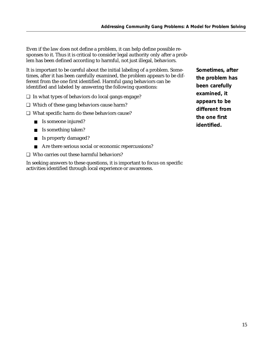Even if the law does not define a problem, it can help define possible responses to it. Thus it is critical to consider legal authority only after a problem has been defined according to harmful, not just illegal, behaviors.

It is important to be careful about the initial labeling of a problem. Sometimes, after it has been carefully examined, the problem appears to be different from the one first identified. Harmful gang behaviors can be identified and labeled by answering the following questions:

- ❑ In what types of behaviors do local gangs engage?
- ❑ Which of these gang behaviors cause harm?
- ❑ What specific harm do these behaviors cause?
	- Is someone injured?
	- Is something taken?
	- Is property damaged?
	- Are there serious social or economic repercussions?
- ❑ Who carries out these harmful behaviors?

In seeking answers to these questions, it is important to focus on specific activities identified through local experience or awareness.

*Sometimes, after the problem has been carefully examined, it appears to be different from the one first identified.*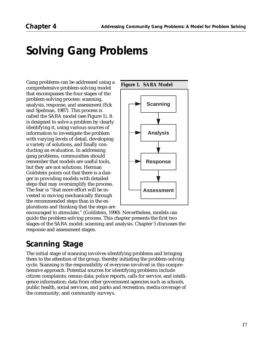## *Solving Gang Problems*

Gang problems can be addressed using a comprehensive problem-solving model that encompasses the four stages of the problem-solving process: scanning, analysis, response, and assessment (Eck and Spelman, 1987). This process is called the SARA model (see Figure 1). It is designed to solve a problem by clearly identifying it, using various sources of information to investigate the problem with varying levels of detail, developing a variety of solutions, and finally conducting an evaluation. In addressing gang problems, communities should remember that models are useful tools, but they are not solutions. Herman Goldstein points out that there is a danger in providing models with detailed steps that may oversimplify the process. The fear is "that more effort will be invested in moving mechanically through the recommended steps than in the explorations and thinking that the steps are



encouraged to stimulate," (Goldstein, 1990). Nevertheless, models can guide the problem-solving process. This chapter presents the first two stages of the SARA model: scanning and analysis. Chapter 5 discusses the response and assessment stages.

## *Scanning Stage*

The initial stage of scanning involves identifying problems and bringing them to the attention of the group, thereby initiating the problem-solving cycle. Scanning is the responsibility of everyone involved in this comprehensive approach. Potential sources for identifying problems include citizen complaints; census data; police reports, calls for service, and intelligence information; data from other government agencies such as schools, public health, social services, and parks and recreation; media coverage of the community; and community surveys.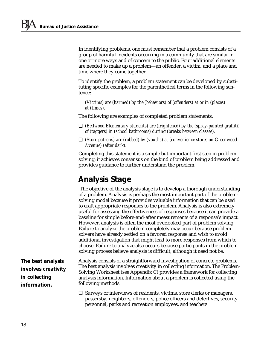In identifying problems, one must remember that a problem consists of a group of harmful incidents occurring in a community that are similar in one or more ways and of concern to the public. Four additional elements are needed to make up a problem—an offender, a victim, and a place and time where they come together.

To identify the problem, a problem statement can be developed by substituting specific examples for the parenthetical terms in the following sentence:

*(Victims) are (harmed) by the (behaviors) of (offenders) at or in (places) at (times).*

The following are examples of completed problem statements:

- ❑ *(Bellwood Elementary students) are (frightened) by the (spray-painted graffiti) of (taggers) in (school bathrooms) during (breaks between classes).*
- ❑ *(Store patrons) are (robbed) by (youths) at (convenience stores on Greenwood Avenue) (after dark).*

Completing this statement is a simple but important first step in problem solving; it achieves consensus on the kind of problem being addressed and provides guidance to further understand the problem.

### *Analysis Stage*

 The objective of the analysis stage is to develop a thorough understanding of a problem. Analysis is perhaps the most important part of the problemsolving model because it provides valuable information that can be used to craft appropriate responses to the problem. Analysis is also extremely useful for assessing the effectiveness of responses because it can provide a baseline for simple before-and-after measurements of a response's impact. However, analysis is often the most overlooked part of problem solving. Failure to analyze the problem completely may occur because problem solvers have already settled on a favored response and wish to avoid additional investigation that might lead to more responses from which to choose. Failure to analyze also occurs because participants in the problemsolving process believe analysis is difficult, although it need not be.

*The best analysis involves creativity in collecting information.*

Analysis consists of a straightforward investigation of concrete problems. The best analysis involves creativity in collecting information. The Problem-Solving Worksheet (see Appendix C) provides a framework for collecting analysis information. Information about a problem is collected using the following methods:

❑ Surveys or interviews of residents, victims, store clerks or managers, passersby, neighbors, offenders, police officers and detectives, security personnel, parks and recreation employees, and teachers.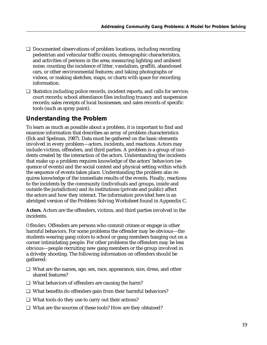- ❑ Documented observations of problem locations, including recording pedestrian and vehicular traffic counts, demographic characteristics, and activities of persons in the area; measuring lighting and ambient noise; counting the incidence of litter, vandalism, graffiti, abandoned cars, or other environmental features; and taking photographs or videos, or making sketches, maps, or charts with space for recording information.
- ❑ Statistics including police records, incident reports, and calls for service; court records; school attendance files including truancy and suspension records; sales receipts of local businesses; and sales records of specific tools (such as spray paint).

#### *Understanding the Problem*

To learn as much as possible about a problem, it is important to find and examine information that describes an array of problem characteristics (Eck and Spelman, 1987). Data must be gathered on the basic elements involved in every problem—actors, incidents, and reactions. Actors may include victims, offenders, and third parties. A problem is a group of incidents created by the interaction of the actors. Understanding the incidents that make up a problem requires knowledge of the actors' behaviors (sequence of events) and the social context and physical setting within which the sequence of events takes place. Understanding the problem also requires knowledge of the immediate results of the events. Finally, reactions to the incidents by the community (individuals and groups, inside and outside the jurisdiction) and its institutions (private and public) affect the actors and how they interact. The information provided here is an abridged version of the Problem-Solving Worksheet found in Appendix C.

**Actors.** Actors are the offenders, victims, and third parties involved in the incidents.

*Offenders.* Offenders are persons who commit crimes or engage in other harmful behaviors. For some problems the offender may be obvious—the students wearing gang colors to school or gang members hanging out on a corner intimidating people. For other problems the offenders may be less obvious—people recruiting new gang members or the group involved in a driveby shooting. The following information on offenders should be gathered:

- ❑ What are the names, age, sex, race, appearance, size, dress, and other shared features?
- ❑ What behaviors of offenders are causing the harm?
- ❑ What benefits do offenders gain from their harmful behaviors?
- ❑ What tools do they use to carry out their actions?
- ❑ What are the sources of these tools? How are they obtained?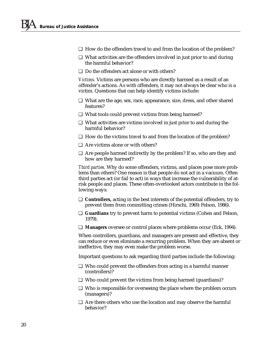- ❑ How do the offenders travel to and from the location of the problem?
- ❑ What activities are the offenders involved in just prior to and during the harmful behavior?
- ❑ Do the offenders act alone or with others?

*Victims.* Victims are persons who are directly harmed as a result of an offender's actions. As with offenders, it may not always be clear who is a victim. Questions that can help identify victims include:

- ❑ What are the age, sex, race, appearance, size, dress, and other shared features?
- ❑ What tools could prevent victims from being harmed?
- ❑ What activities are victims involved in just prior to and during the harmful behavior?
- ❑ How do the victims travel to and from the location of the problem?
- ❑ Are victims alone or with others?
- ❑ Are people harmed indirectly by the problem? If so, who are they and how are they harmed?

*Third parties.* Why do some offenders, victims, and places pose more problems than others? One reason is that people do not act in a vacuum. Often third parties act (or fail to act) in ways that increase the vulnerability of atrisk people and places. These often-overlooked actors contribute in the following ways:

- ❑ **Controllers,** acting in the best interests of the potential offenders, try to prevent them from committing crimes (Hirschi, 1969; Felson, 1986).
- ❑ **Guardians** try to prevent harm to potential victims (Cohen and Felson, 1979).
- ❑ **Managers** oversee or control places where problems occur (Eck, 1994).

When controllers, guardians, and managers are present and effective, they can reduce or even eliminate a recurring problem. When they are absent or ineffective, they may even make the problem worse.

Important questions to ask regarding third parties include the following:

- ❑ Who could prevent the offenders from acting in a harmful manner (controllers)?
- ❑ Who could prevent the victims from being harmed (guardians)?
- ❑ Who is responsible for overseeing the place where the problem occurs (managers)?
- ❑ Are there others who use the location and may observe the harmful behavior?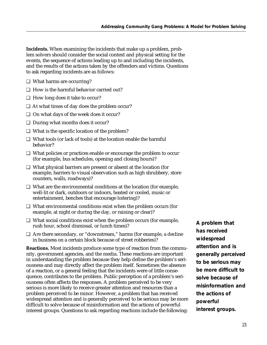**Incidents.** When examining the incidents that make up a problem, problem solvers should consider the social context and physical setting for the events, the sequence of actions leading up to and including the incidents, and the results of the actions taken by the offenders and victims. Questions to ask regarding incidents are as follows:

- ❑ What harms are occurring?
- ❑ How is the harmful behavior carried out?
- ❑ How long does it take to occur?
- ❑ At what times of day does the problem occur?
- ❑ On what days of the week does it occur?
- ❑ During what months does it occur?
- ❑ What is the specific location of the problem?
- ❑ What tools (or lack of tools) at the location enable the harmful behavior?
- ❑ What policies or practices enable or encourage the problem to occur (for example, bus schedules, opening and closing hours)?
- ❑ What physical barriers are present or absent at the location (for example, barriers to visual observation such as high shrubbery, store counters, walls, roadways)?
- ❑ What are the environmental conditions at the location (for example, well-lit or dark, outdoors or indoors, heated or cooled, music or entertainment, benches that encourage loitering)?
- ❑ What environmental conditions exist when the problem occurs (for example, at night or during the day, or raining or clear)?
- ❑ What social conditions exist when the problem occurs (for example, rush hour, school dismissal, or lunch times)?
- ❑ Are there secondary, or "downstream," harms (for example, a decline in business on a certain block because of street robberies)?

**Reactions.** Most incidents produce some type of reaction from the community, government agencies, and the media. These reactions are important in understanding the problem because they help define the problem's seriousness and may directly affect the problem itself. Sometimes the absence of a reaction, or a general feeling that the incidents were of little consequence, contributes to the problem. Public perception of a problem's seriousness often affects the responses. A problem perceived to be very serious is more likely to receive greater attention and resources than a problem perceived to be minor. However, a problem that has received widespread attention and is generally perceived to be serious may be more difficult to solve because of misinformation and the actions of powerful interest groups. Questions to ask regarding reactions include the following: *A problem that has received widespread attention and is generally perceived to be serious may be more difficult to solve because of misinformation and the actions of powerful interest groups.*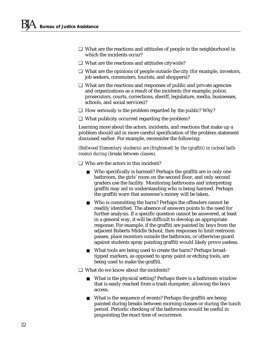- ❑ What are the reactions and attitudes of people in the neighborhood in which the incidents occur?
- ❑ What are the reactions and attitudes citywide?
- ❑ What are the opinions of people outside the city (for example, investors, job seekers, commuters, tourists, and shoppers)?
- ❑ What are the reactions and responses of public and private agencies and organizations as a result of the incidents (for example, police, prosecutors, courts, corrections, sheriff, legislature, media, businesses, schools, and social services)?
- ❑ How seriously is the problem regarded by the public? Why?
- ❑ What publicity occurred regarding the problem?

Learning more about the actors, incidents, and reactions that make up a problem should aid in more careful specification of the problem statement discussed earlier. For example, reconsider the following:

*(Bellwood Elementary students) are (frightened) by the (graffiti) in (school bathrooms) during (breaks between classes).*

- ❑ Who are the actors in this incident?
	- Who specifically is harmed? Perhaps the graffiti are in only one bathroom, the girls' room on the second floor, and only second graders use the facility. Monitoring bathrooms and interpreting graffiti may aid in understanding who is being harmed. Perhaps the graffiti warn that someone's money will be taken.
	- Who is committing the harm? Perhaps the offenders cannot be readily identified. The absence of answers points to the need for further analysis. If a specific question cannot be answered, at least in a general way, it will be difficult to develop an appropriate response. For example, if the graffiti are painted by boys from the adjacent Roberts Middle School, then responses to limit restroom passes, place monitors outside the bathroom, or otherwise guard against students spray painting graffiti would likely prove useless.
	- What tools are being used to create the harm? Perhaps broadtipped markers, as opposed to spray paint or etching tools, are being used to make the graffiti.
- ❑ What do we know about the incidents?
	- What is the physical setting? Perhaps there is a bathroom window that is easily reached from a trash dumpster, allowing the boys access.
	- What is the sequence of events? Perhaps the graffiti are being painted during breaks between morning classes or during the lunch period. Periodic checking of the bathrooms would be useful in pinpointing the exact time of occurrence.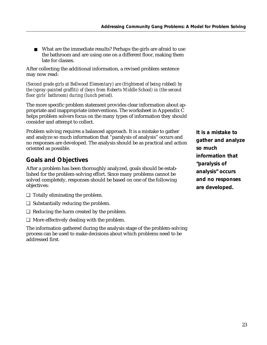■ What are the immediate results? Perhaps the girls are afraid to use the bathroom and are using one on a different floor, making them late for classes.

After collecting the additional information, a revised problem sentence may now read:

*(Second grade girls at Bellwood Elementary) are (frightened of being robbed) by the (spray-painted graffiti) of (boys from Roberts Middle School) in (the second floor girls' bathroom) during (lunch period).*

The more specific problem statement provides clear information about appropriate and inappropriate interventions. The worksheet in Appendix C helps problem solvers focus on the many types of information they should consider and attempt to collect.

Problem solving requires a balanced approach. It is a mistake to gather and analyze so much information that "paralysis of analysis" occurs and no responses are developed. The analysis should be as practical and action oriented as possible.

#### *Goals and Objectives*

After a problem has been thoroughly analyzed, goals should be established for the problem-solving effort. Since many problems cannot be solved completely, responses should be based on one of the following objectives:

- ❑ Totally eliminating the problem.
- ❑ Substantially reducing the problem.
- ❑ Reducing the harm created by the problem.
- ❑ More effectively dealing with the problem.

The information gathered during the analysis stage of the problem-solving process can be used to make decisions about which problems need to be addressed first.

*It is a mistake to gather and analyze so much information that "paralysis of analysis" occurs and no responses are developed.*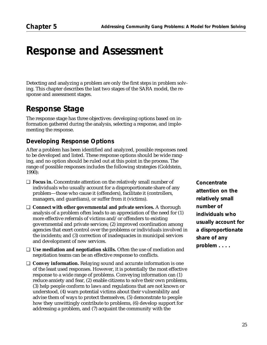## *Response and Assessment*

Detecting and analyzing a problem are only the first steps in problem solving. This chapter describes the last two stages of the SARA model, the response and assessment stages.

### *Response Stage*

The response stage has three objectives: developing options based on information gathered during the analysis, selecting a response, and implementing the response.

#### *Developing Response Options*

After a problem has been identified and analyzed, possible responses need to be developed and listed. These response options should be wide ranging, and no option should be ruled out at this point in the process. The range of possible responses includes the following strategies (Goldstein, 1990):

- ❑ **Focus in.** Concentrate attention on the relatively small number of individuals who usually account for a disproportionate share of any problem—those who cause it (offenders), facilitate it (controllers, managers, and guardians), or suffer from it (victims).
- ❑ **Connect with other governmental and private services.** A thorough analysis of a problem often leads to an appreciation of the need for (1) more effective referrals of victims and/or offenders to existing governmental and private services; (2) improved coordination among agencies that exert control over the problems or individuals involved in the incidents; and (3) correction of inadequacies in municipal services and development of new services.
- ❑ **Use mediation and negotiation skills.** Often the use of mediation and negotiation teams can be an effective response to conflicts.
- ❑ **Convey information.** Relaying sound and accurate information is one of the least used responses. However, it is potentially the most effective response to a wide range of problems. Conveying information can (1) reduce anxiety and fear, (2) enable citizens to solve their own problems, (3) help people conform to laws and regulations that are not known or understood, (4) warn potential victims about their vulnerability and advise them of ways to protect themselves, (5) demonstrate to people how they unwittingly contribute to problems, (6) develop support for addressing a problem, and (7) acquaint the community with the

*Concentrate attention on the relatively small number of individuals who usually account for a disproportionate share of any problem . . . .*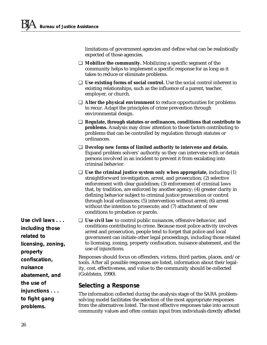limitations of government agencies and define what can be realistically expected of those agencies.

- ❑ **Mobilize the community.** Mobilizing a specific segment of the community helps to implement a specific response for as long as it takes to reduce or eliminate problems.
- ❑ **Use existing forms of social control.** Use the social control inherent in existing relationships, such as the influence of a parent, teacher, employer, or church.
- ❑ **Alter the physical environment** to reduce opportunities for problems to recur. Adapt the principles of crime prevention through environmental design.
- ❑ **Regulate, through statutes or ordinances, conditions that contribute to problems.** Analysis may draw attention to those factors contributing to problems that can be controlled by regulation through statutes or ordinances.
- ❑ **Develop new forms of limited authority to intervene and detain.** Expand problem solvers' authority so they can intervene with or detain persons involved in an incident to prevent it from escalating into criminal behavior.
- ❑ **Use the criminal justice system only when appropriate,** including (1) straightforward investigation, arrest, and prosecution; (2) selective enforcement with clear guidelines; (3) enforcement of criminal laws that, by tradition, are enforced by another agency; (4) greater clarity in defining behavior subject to criminal justice prosecution or control through local ordinances; (5) intervention without arrest; (6) arrest without the intention to prosecute; and (7) attachment of new conditions to probation or parole.
- ❑ **Use civil law** to control public nuisances, offensive behavior, and conditions contributing to crime. Because most police activity involves arrest and prosecution, people tend to forget that police and local government can initiate other legal proceedings, including those related to licensing, zoning, property confiscation, nuisance abatement, and the use of injunctions.

Responses should focus on offenders, victims, third parties, places, and/or tools. After all possible responses are listed, information about their legality, cost, effectiveness, and value to the community should be collected (Goldstein, 1990).

#### *Selecting a Response*

The information collected during the analysis stage of the SARA problemsolving model facilitates the selection of the most appropriate responses from the alternatives listed. The most effective responses take into account community values and often contain input from individuals directly affected

*including those related to licensing, zoning, property confiscation, nuisance abatement, and the use of injunctions . . . to fight gang problems.*

*Use civil laws . . .*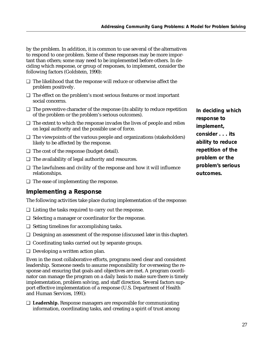by the problem. In addition, it is common to use several of the alternatives to respond to one problem. Some of these responses may be more important than others; some may need to be implemented before others. In deciding which response, or group of responses, to implement, consider the following factors (Goldstein, 1990):

- ❑ The likelihood that the response will reduce or otherwise affect the problem positively.
- ❑ The effect on the problem's most serious features or most important social concerns.
- ❑ The preventive character of the response (its ability to reduce repetition of the problem or the problem's serious outcomes).
- ❑ The extent to which the response invades the lives of people and relies on legal authority and the possible use of force.
- ❑ The viewpoints of the various people and organizations (stakeholders) likely to be affected by the response.
- ❑ The cost of the response (budget detail).
- ❑ The availability of legal authority and resources.
- ❑ The lawfulness and civility of the response and how it will influence relationships.
- ❑ The ease of implementing the response.

#### *Implementing a Response*

The following activities take place during implementation of the response:

- ❑ Listing the tasks required to carry out the response.
- ❑ Selecting a manager or coordinator for the response.
- ❑ Setting timelines for accomplishing tasks.
- ❑ Designing an assessment of the response (discussed later in this chapter).
- ❑ Coordinating tasks carried out by separate groups.
- ❑ Developing a written action plan.

Even in the most collaborative efforts, programs need clear and consistent leadership. Someone needs to assume responsibility for overseeing the response and ensuring that goals and objectives are met. A program coordinator can manage the program on a daily basis to make sure there is timely implementation, problem solving, and staff direction. Several factors support effective implementation of a response (U.S. Department of Health and Human Services, 1991):

❑ **Leadership.** Response managers are responsible for communicating information, coordinating tasks, and creating a spirit of trust among *In deciding which response to implement, consider . . . its ability to reduce repetition of the problem or the problem's serious outcomes.*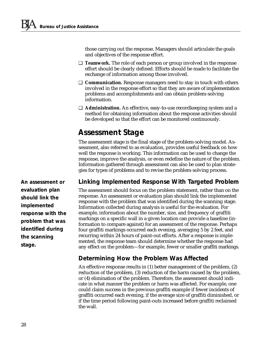those carrying out the response. Managers should articulate the goals and objectives of the response effort.

- ❑ **Teamwork.** The role of each person or group involved in the response effort should be clearly defined. Efforts should be made to facilitate the exchange of information among those involved.
- ❑ **Communication.** Response managers need to stay in touch with others involved in the response effort so that they are aware of implementation problems and accomplishments and can obtain problem-solving information.
- ❑ **Administration.** An effective, easy-to-use recordkeeping system and a method for obtaining information about the response activities should be developed so that the effort can be monitored continuously.

### *Assessment Stage*

The assessment stage is the final stage of the problem-solving model. Asresponse, improve the analysis, or even redefine the nature of the problem.

sessment, also referred to as evaluation, provides useful feedback on how well the response is working. This information can be used to change the Information gathered through assessment can also be used to plan strategies for types of problems and to revise the problem-solving process.

#### *Linking Implemented Response With Targeted Problem*

The assessment should focus on the problem statement, rather than on the response. An assessment or evaluation plan should link the implemented response with the problem that was identified during the scanning stage. Information collected during analysis is useful for the evaluation. For example, information about the number, size, and frequency of graffiti markings on a specific wall in a given location can provide a baseline (information to compare against) for an assessment of the response. Perhaps four graffiti markings occurred each evening, averaging 5 by 2 feet, and recurring within 24 hours of paint-out efforts. After a response is implemented, the response team should determine whether the response had any effect on the problem—for example, fewer or smaller graffiti markings.

#### *Determining How the Problem Was Affected*

An effective response results in (1) better management of the problem, (2) reduction of the problem, (3) reduction of the harm caused by the problem, or (4) elimination of the problem. Therefore, the assessment should indicate in what manner the problem or harm was affected. For example, one could claim success in the previous graffiti example if fewer incidents of graffiti occurred each evening, if the average size of graffiti diminished, or if the time period following paint-outs increased before graffiti reclaimed the wall.

*An assessment or evaluation plan should link the implemented response with the problem that was identified during the scanning stage.*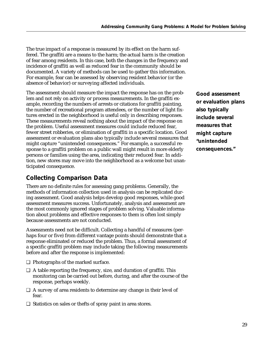The true impact of a response is measured by its effect on the harm suffered. The graffiti are a means to the harm; the actual harm is the creation of fear among residents. In this case, both the changes in the frequency and incidence of graffiti as well as reduced fear in the community should be documented. A variety of methods can be used to gather this information. For example, fear can be assessed by observing resident behavior (or the absence of behavior) or surveying affected individuals.

The assessment should measure the impact the response has on the problem and not rely on activity or process measurements. In the graffiti example, recording the numbers of arrests or citations for graffiti painting, the number of recreational program attendees, or the number of light fixtures erected in the neighborhood is useful only in describing responses. These measurements reveal nothing about the impact of the response on the problem. Useful assessment measures could include reduced fear, fewer street robberies, or elimination of graffiti in a specific location. Good assessment or evaluation plans also typically include several measures that might capture "unintended consequences." For example, a successful response to a graffiti problem on a public wall might result in more elderly persons or families using the area, indicating their reduced fear. In addition, new stores may move into the neighborhood as a welcome but unanticipated consequence.

#### *Collecting Comparison Data*

There are no definite rules for assessing gang problems. Generally, the methods of information collection used in analysis can be replicated during assessment. Good analysis helps develop good responses, while good assessment measures success. Unfortunately, analysis and assessment are the most commonly ignored stages of problem solving. Valuable information about problems and effective responses to them is often lost simply because assessments are not conducted.

Assessments need not be difficult. Collecting a handful of measures (perhaps four or five) from different vantage points should demonstrate that a response eliminated or reduced the problem. Thus, a formal assessment of a specific graffiti problem may include taking the following measurements before and after the response is implemented:

- ❑ Photographs of the marked surface.
- ❑ A table reporting the frequency, size, and duration of graffiti. This monitoring can be carried out before, during, and after the course of the response, perhaps weekly.
- ❑ A survey of area residents to determine any change in their level of fear.
- ❑ Statistics on sales or thefts of spray paint in area stores.

*Good assessment or evaluation plans also typically include several measures that might capture "unintended consequences."*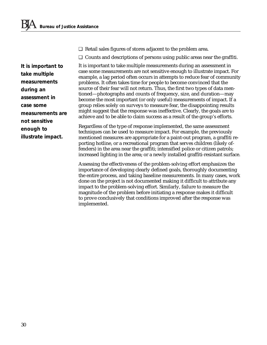❑ Retail sales figures of stores adjacent to the problem area.

❑ Counts and descriptions of persons using public areas near the graffiti.

It is important to take multiple measurements during an assessment in case some measurements are not sensitive enough to illustrate impact. For example, a lag period often occurs in attempts to reduce fear of community problems. It often takes time for people to become convinced that the source of their fear will not return. Thus, the first two types of data mentioned—photographs and counts of frequency, size, and duration—may become the most important (or only useful) measurements of impact. If a group relies solely on surveys to measure fear, the disappointing results might suggest that the response was ineffective. Clearly, the goals are to achieve and to be able to claim success as a result of the group's efforts.

Regardless of the type of response implemented, the same assessment techniques can be used to measure impact. For example, the previously mentioned measures are appropriate for a paint-out program, a graffiti reporting hotline, or a recreational program that serves children (likely offenders) in the area near the graffiti; intensified police or citizen patrols; increased lighting in the area; or a newly installed graffiti-resistant surface.

Assessing the effectiveness of the problem-solving effort emphasizes the importance of developing clearly defined goals, thoroughly documenting the entire process, and taking baseline measurements. In many cases, work done on the project is not documented making it difficult to attribute any impact to the problem-solving effort. Similarly, failure to measure the magnitude of the problem before initiating a response makes it difficult to prove conclusively that conditions improved after the response was implemented.

*It is important to take multiple measurements during an assessment in case some measurements are not sensitive enough to illustrate impact.*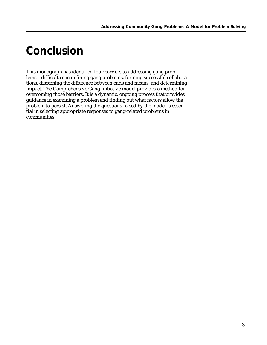## *Conclusion*

This monograph has identified four barriers to addressing gang problems—difficulties in defining gang problems, forming successful collaborations, discerning the difference between ends and means, and determining impact. The Comprehensive Gang Initiative model provides a method for overcoming those barriers. It is a dynamic, ongoing process that provides guidance in examining a problem and finding out what factors allow the problem to persist. Answering the questions raised by the model is essential in selecting appropriate responses to gang-related problems in communities.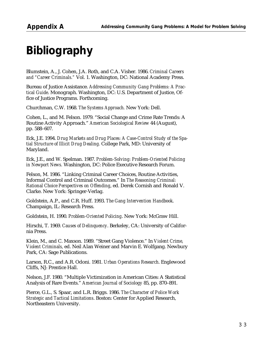## *Bibliography*

Blumstein, A., J. Cohen, J.A. Roth, and C.A. Visher. 1986. *Criminal Careers and "Career Criminals."* Vol. 1. Washington, DC: National Academy Press.

Bureau of Justice Assistance. *Addressing Community Gang Problems: A Practical Guide*. Monograph. Washington, DC: U.S. Department of Justice, Office of Justice Programs. Forthcoming.

Churchman, C.W. 1968. *The Systems Approach.* New York: Dell.

Cohen, L., and M. Felson. 1979. "Social Change and Crime Rate Trends: A Routine Activity Approach." *American Sociological Review* 44 (August), pp. 588–607.

Eck, J.E. 1994. *Drug Markets and Drug Places: A Case-Control Study of the Spatial Structure of Illicit Drug Dealing.* College Park, MD: University of Maryland.

Eck, J.E., and W. Spelman. 1987. *Problem-Solving: Problem-Oriented Policing in Newport News.* Washington, DC: Police Executive Research Forum.

Felson, M. 1986. "Linking Criminal Career Choices, Routine Activities, Informal Control and Criminal Outcomes." In *The Reasoning Criminal: Rational Choice Perspectives on Offending*, ed. Derek Cornish and Ronald V. Clarke. New York: Springer-Verlag.

Goldstein, A.P., and C.R. Huff. 1993. *The Gang Intervention Handbook*. Champaign, IL: Research Press.

Goldstein, H. 1990. *Problem-Oriented Policing*. New York: McGraw Hill.

Hirschi, T. 1969. *Causes of Delinquency*. Berkeley, CA: University of California Press.

Klein, M., and C. Maxson. 1989. "Street Gang Violence." In *Violent Crime, Violent Criminals,* ed. Neil Alan Weiner and Marvin E. Wolfgang. Newbury Park, CA: Sage Publications.

Larson, R.C., and A.R. Odoni. 1981. *Urban Operations Research*. Englewood Cliffs, NJ: Prentice Hall.

Nelson, J.F. 1980. "Multiple Victimization in American Cities: A Statistical Analysis of Rare Events." *American Journal of Sociology* 85, pp. 870–891.

Pierce, G.L., S. Spaar, and L.R. Briggs. 1986. *The Character of Police Work Strategic and Tactical Limitations*. Boston: Center for Applied Research, Northeastern University.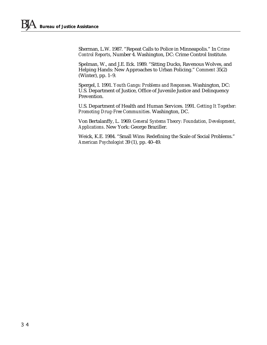Sherman, L.W. 1987. "Repeat Calls to Police in Minneapolis." In *Crime Control Reports*, Number 4. Washington, DC: Crime Control Institute.

Spelman, W., and J.E. Eck. 1989. "Sitting Ducks, Ravenous Wolves, and Helping Hands: New Approaches to Urban Policing." *Comment* 35(2) (Winter), pp. 1–9.

Spergel, I. 1991. *Youth Gangs: Problems and Responses*. Washington, DC: U.S. Department of Justice, Office of Juvenile Justice and Delinquency Prevention.

U.S. Department of Health and Human Services. 1991. *Getting It Together: Promoting Drug-Free Communities*. Washington, DC.

Von Bertalanffy, L. 1969. *General Systems Theory: Foundation, Development, Applications*. New York: George Braziller.

Weick, K.E. 1984. "Small Wins: Redefining the Scale of Social Problems." *American Psychologist* 39 (1), pp. 40–49.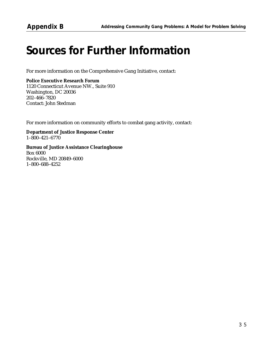## *Sources for Further Information*

For more information on the Comprehensive Gang Initiative, contact:

**Police Executive Research Forum** 1120 Connecticut Avenue NW., Suite 910 Washington, DC 20036 202–466–7820 Contact: John Stedman

For more information on community efforts to combat gang activity, contact:

**Department of Justice Response Center** 1–800–421–6770

**Bureau of Justice Assistance Clearinghouse** Box 6000 Rockville, MD 20849–6000 1–800–688–4252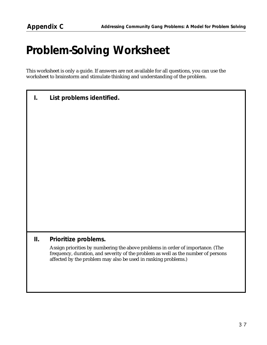## *Problem-Solving Worksheet*

This worksheet is only a guide. If answers are not available for all questions, you can use the worksheet to brainstorm and stimulate thinking and understanding of the problem.

*I. List problems identified.*

#### *II. Prioritize problems.*

Assign priorities by numbering the above problems in order of importance. (The frequency, duration, and severity of the problem as well as the number of persons affected by the problem may also be used in ranking problems.)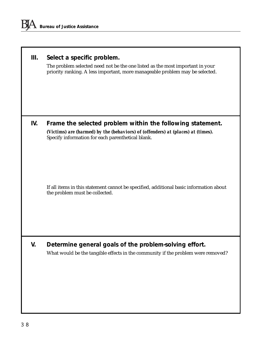|  |  |  | III. Select a specific problem. |
|--|--|--|---------------------------------|
|--|--|--|---------------------------------|

The problem selected need not be the one listed as the most important in your priority ranking. A less important, more manageable problem may be selected.

#### *IV. Frame the selected problem within the following statement. (Victims) are (harmed) by the (behaviors) of (offenders) at (places) at (times).* Specify information for each parenthetical blank.

If all items in this statement cannot be specified, additional basic information about the problem must be collected.

#### *V. Determine general goals of the problem-solving effort.* What would be the tangible effects in the community if the problem were removed?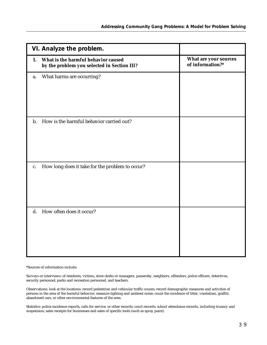| VI. Analyze the problem.                                                                 |                                           |
|------------------------------------------------------------------------------------------|-------------------------------------------|
| What is the harmful behavior caused<br>1.<br>by the problem you selected in Section III? | What are your sources<br>of information?* |
| What harms are occurring?<br>a.                                                          |                                           |
| How is the harmful behavior carried out?<br>b.                                           |                                           |
| How long does it take for the problem to occur?<br>c.                                    |                                           |
| How often does it occur?<br>$\mathbf{d}$ .                                               |                                           |

\*Sources of information include:

Surveys or interviews: of residents, victims, store clerks or managers, passersby, neighbors, offenders, police officers, detectives, security personnel, parks and recreation personnel, and teachers.

Observations: look at the locations: record pedestrian and vehicular traffic counts; record demographic measures and activities of persons in the area of the harmful behavior; measure lighting and ambient noise; count the incidence of litter, vandalism, graffiti, abandoned cars, or other environmental features of the area.

Statistics: police incidence reports, calls for service, or other records; court records; school attendance records, including truancy and suspension; sales receipts for businesses and sales of specific tools (such as spray paint).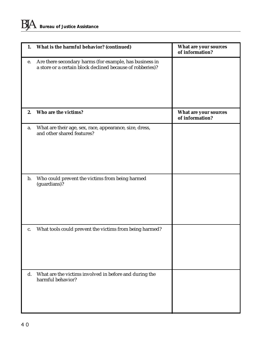| 1.             | What is the harmful behavior? (continued)                                                                             | What are your sources<br>of information? |
|----------------|-----------------------------------------------------------------------------------------------------------------------|------------------------------------------|
| е.             | Are there secondary harms (for example, has business in<br>a store or a certain block declined because of robberies)? |                                          |
| 2.             | Who are the victims?                                                                                                  | What are your sources<br>of information? |
| a.             | What are their age, sex, race, appearance, size, dress,<br>and other shared features?                                 |                                          |
| $\mathbf{b}$ . | Who could prevent the victims from being harmed<br>(guardians)?                                                       |                                          |
| c.             | What tools could prevent the victims from being harmed?                                                               |                                          |
| $\mathbf{d}$ . | What are the victims involved in before and during the<br>harmful behavior?                                           |                                          |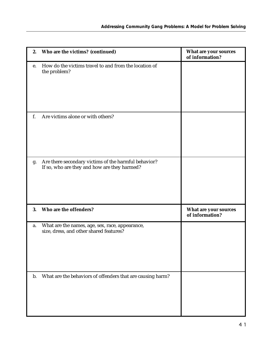| 2. | Who are the victims? (continued)                                                                     | What are your sources<br>of information? |
|----|------------------------------------------------------------------------------------------------------|------------------------------------------|
| e. | How do the victims travel to and from the location of<br>the problem?                                |                                          |
| f. | Are victims alone or with others?                                                                    |                                          |
| g. | Are there secondary victims of the harmful behavior?<br>If so, who are they and how are they harmed? |                                          |
| 3. | Who are the offenders?                                                                               | What are your sources<br>of information? |
| a. | What are the names, age, sex, race, appearance,<br>size, dress, and other shared features?           |                                          |
| b. | What are the behaviors of offenders that are causing harm?                                           |                                          |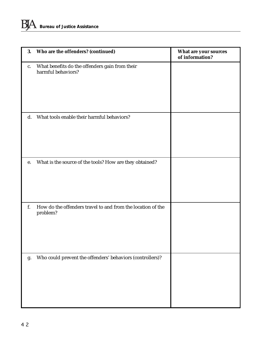| 3.             | Who are the offenders? (continued)                                      | What are your sources<br>of information? |
|----------------|-------------------------------------------------------------------------|------------------------------------------|
| c.             | What benefits do the offenders gain from their<br>harmful behaviors?    |                                          |
| $\mathbf{d}$ . | What tools enable their harmful behaviors?                              |                                          |
| e.             | What is the source of the tools? How are they obtained?                 |                                          |
| f.             | How do the offenders travel to and from the location of the<br>problem? |                                          |
| g.             | Who could prevent the offenders' behaviors (controllers)?               |                                          |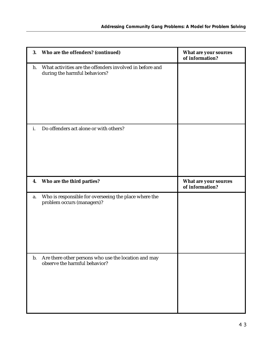| 3. | Who are the offenders? (continued)                                                        | What are your sources<br>of information? |
|----|-------------------------------------------------------------------------------------------|------------------------------------------|
| h. | What activities are the offenders involved in before and<br>during the harmful behaviors? |                                          |
| i. | Do offenders act alone or with others?                                                    |                                          |
| 4. | Who are the third parties?                                                                | What are your sources                    |
|    |                                                                                           | of information?                          |
| a. | Who is responsible for overseeing the place where the<br>problem occurs (managers)?       |                                          |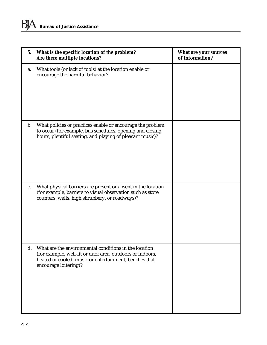| 5.             | What is the specific location of the problem?<br>Are there multiple locations?                                                                                                                        | What are your sources<br>of information? |
|----------------|-------------------------------------------------------------------------------------------------------------------------------------------------------------------------------------------------------|------------------------------------------|
| a.             | What tools (or lack of tools) at the location enable or<br>encourage the harmful behavior?                                                                                                            |                                          |
| $\mathbf{b}$ . | What policies or practices enable or encourage the problem<br>to occur (for example, bus schedules, opening and closing<br>hours, plentiful seating, and playing of pleasant music)?                  |                                          |
| c.             | What physical barriers are present or absent in the location<br>(for example, barriers to visual observation such as store<br>counters, walls, high shrubbery, or roadways)?                          |                                          |
| $\mathbf{d}$ . | What are the environmental conditions in the location<br>(for example, well-lit or dark area, outdoors or indoors,<br>heated or cooled, music or entertainment, benches that<br>encourage loitering)? |                                          |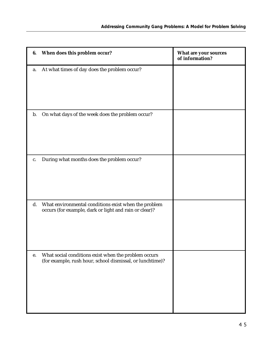| 6. | When does this problem occur?                                                                                     | What are your sources<br>of information? |
|----|-------------------------------------------------------------------------------------------------------------------|------------------------------------------|
| a. | At what times of day does the problem occur?                                                                      |                                          |
| b. | On what days of the week does the problem occur?                                                                  |                                          |
| c. | During what months does the problem occur?                                                                        |                                          |
| d. | What environmental conditions exist when the problem<br>occurs (for example, dark or light and rain or clear)?    |                                          |
| e. | What social conditions exist when the problem occurs<br>(for example, rush hour, school dismissal, or lunchtime)? |                                          |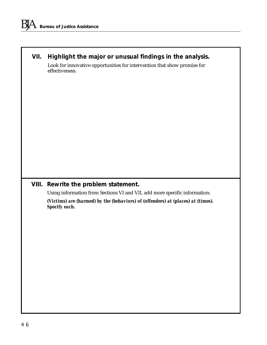### *VII. Highlight the major or unusual findings in the analysis.*

Look for innovative opportunities for intervention that show promise for effectiveness.

#### *VIII. Rewrite the problem statement.*

Using information from Sections VI and VII, add more specific information:

*(Victims) are (harmed) by the (behaviors) of (offenders) at (places) at (times). Specify each.*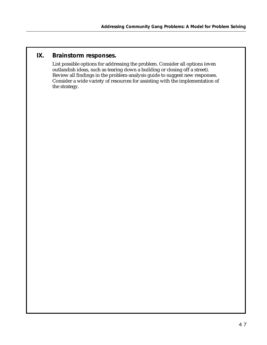#### *IX. Brainstorm responses.*

List possible options for addressing the problem. Consider all options (even outlandish ideas, such as tearing down a building or closing off a street). Review all findings in the problem-analysis guide to suggest new responses. Consider a wide variety of resources for assisting with the implementation of the strategy.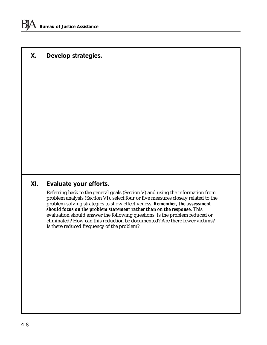#### *X. Develop strategies.*

#### *XI. Evaluate your efforts.*

Referring back to the general goals (Section V) and using the information from problem analysis (Section VI), select four or five measures closely related to the problem-solving strategies to show effectiveness. *Remember, the assessment should focus on the problem statement rather than on the response.* This evaluation should answer the following questions: Is the problem reduced or eliminated? How can this reduction be documented? Are there fewer victims? Is there reduced frequency of the problem?